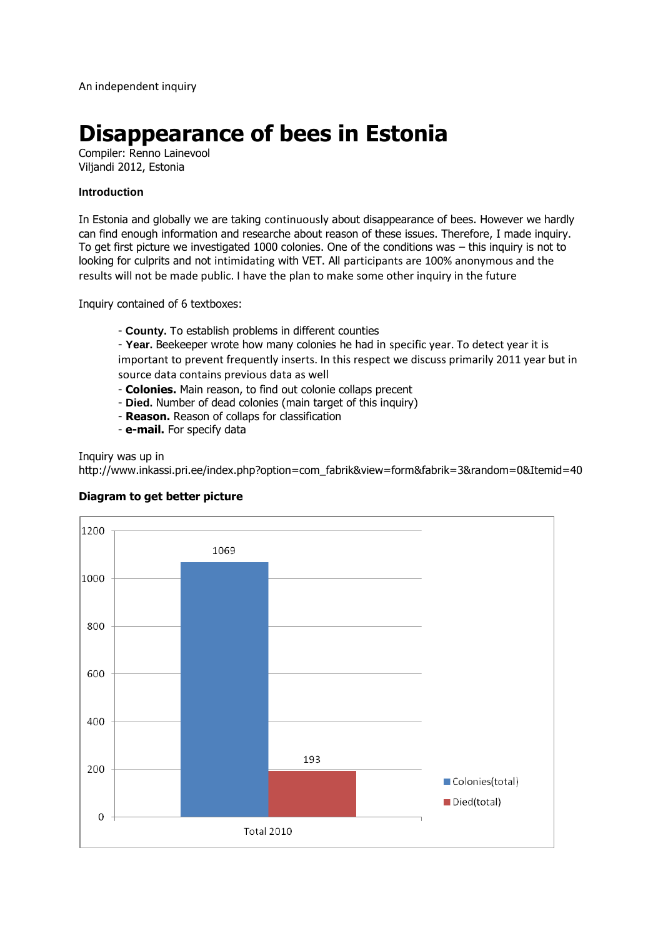# **Disappearance of bees in Estonia**

Compiler: Renno Lainevool Viljandi 2012, Estonia

## **Introduction**

In Estonia and globally we are taking continuously about disappearance of bees. However we hardly can find enough information and researche about reason of these issues. Therefore, I made inquiry. To get first picture we investigated 1000 colonies. One of the conditions was – this inquiry is not to looking for culprits and not intimidating with VET. All participants are 100% anonymous and the results will not be made public. I have the plan to make some other inquiry in the future

Inquiry contained of 6 textboxes:

- **County.** To establish problems in different counties

- **Year.** Beekeeper wrote how many colonies he had in specific year. To detect year it is important to prevent frequently inserts. In this respect we discuss primarily 2011 year but in source data contains previous data as well

- **Colonies.** Main reason, to find out colonie collaps precent
- **Died.** Number of dead colonies (main target of this inquiry)
- **Reason.** Reason of collaps for classification
- **e-mail.** For specify data

Inquiry was up in

http://www.inkassi.pri.ee/index.php?option=com\_fabrik&view=form&fabrik=3&random=0&Itemid=40



## **Diagram to get better picture**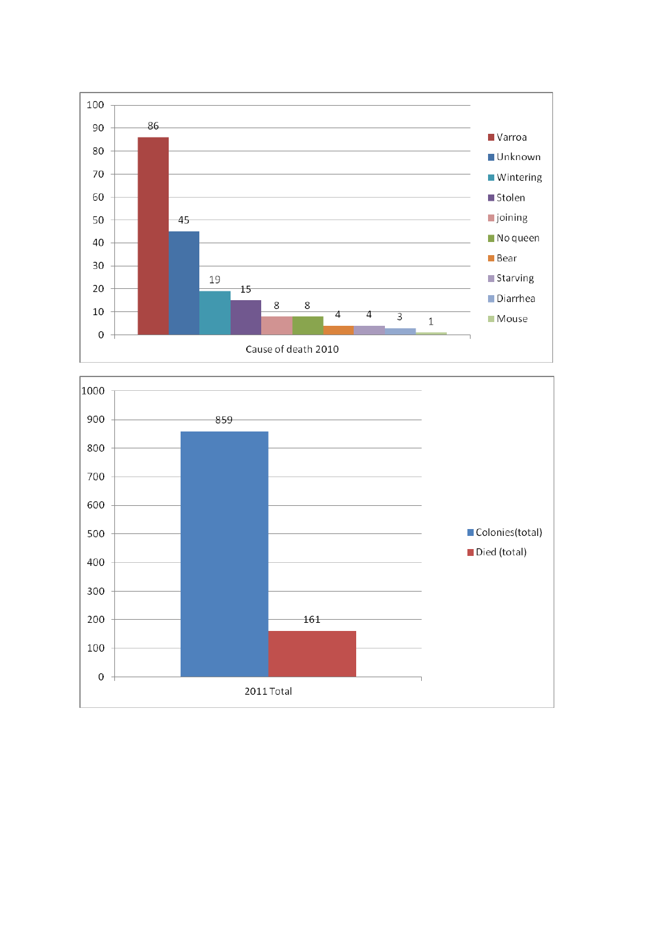

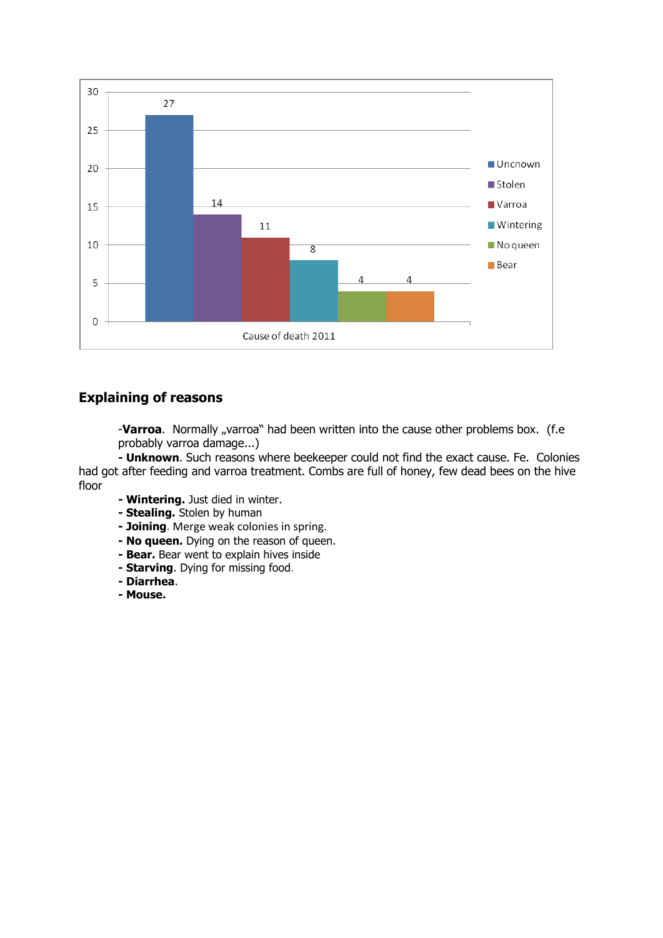

## **Explaining of reasons**

-Varroa. Normally "varroa" had been written into the cause other problems box. (f.e probably varroa damage...)

**- Unknown**. Such reasons where beekeeper could not find the exact cause. Fe. Colonies had got after feeding and varroa treatment. Combs are full of honey, few dead bees on the hive floor

- **- Wintering.** Just died in winter.
- **- Stealing.** Stolen by human
- **- Joining.** Merge weak colonies in spring.
- **- No queen.** Dying on the reason of queen.
- **- Bear.** Bear went to explain hives inside
- **- Starving**. Dying for missing food.
- **- Diarrhea**.
- **- Mouse.**